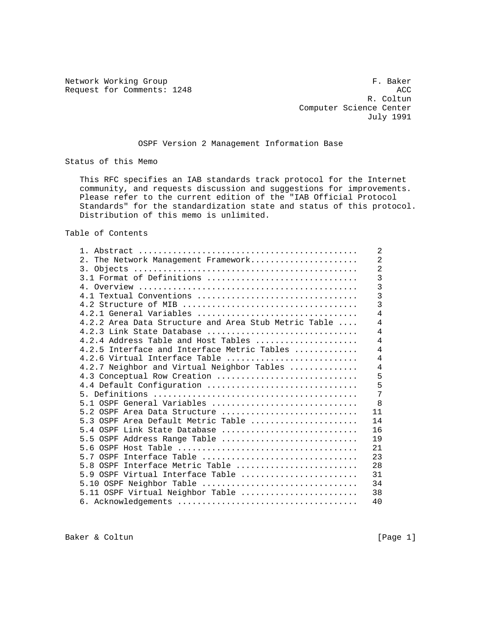Network Working Group **F. Baker** Request for Comments: 1248 ACC

 R. Coltun Computer Science Center July 1991

## OSPF Version 2 Management Information Base

Status of this Memo

 This RFC specifies an IAB standards track protocol for the Internet community, and requests discussion and suggestions for improvements. Please refer to the current edition of the "IAB Official Protocol Standards" for the standardization state and status of this protocol. Distribution of this memo is unlimited.

Table of Contents

|                                                      | $\overline{2}$          |
|------------------------------------------------------|-------------------------|
| 2. The Network Management Framework                  | $\overline{2}$          |
|                                                      | $\overline{2}$          |
| 3.1 Format of Definitions                            | $\overline{3}$          |
|                                                      | $\overline{3}$          |
| 4.1 Textual Conventions                              | $\overline{3}$          |
|                                                      | $\overline{\mathbf{3}}$ |
| $4.2.1$ General Variables                            | 4                       |
| 4.2.2 Area Data Structure and Area Stub Metric Table | $\overline{4}$          |
| 4.2.3 Link State Database                            | 4                       |
| $4.2.4$ Address Table and Host Tables                | $\overline{4}$          |
| 4.2.5 Interface and Interface Metric Tables          | $\overline{4}$          |
| $4.2.6$ Virtual Interface Table                      | $\overline{4}$          |
| 4.2.7 Neighbor and Virtual Neighbor Tables           | $\overline{4}$          |
| 4.3 Conceptual Row Creation                          | 5                       |
| 4.4 Default Configuration                            | 5                       |
|                                                      | 7                       |
| 5.1 OSPF General Variables                           | 8                       |
| 5.2 OSPF Area Data Structure                         | 11                      |
| 5.3 OSPF Area Default Metric Table                   | 14                      |
| $5.4$ OSPF Link State Database                       | 16                      |
| 5.5 OSPF Address Range Table                         | 19                      |
|                                                      | 21                      |
| 5.7 OSPF Interface Table                             | 23                      |
| 5.8 OSPF Interface Metric Table                      | 28                      |
| 5.9 OSPF Virtual Interface Table                     | 31                      |
| 5.10 OSPF Neighbor Table                             | 34                      |
| 5.11 OSPF Virtual Neighbor Table                     | 38                      |
|                                                      | 40                      |
|                                                      |                         |

Baker & Coltun (Page 1)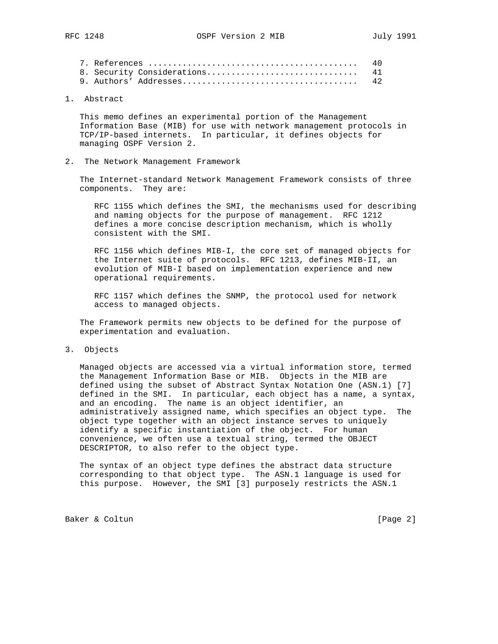|  |  | -40 |
|--|--|-----|
|  |  |     |
|  |  | -42 |

1. Abstract

 This memo defines an experimental portion of the Management Information Base (MIB) for use with network management protocols in TCP/IP-based internets. In particular, it defines objects for managing OSPF Version 2.

2. The Network Management Framework

 The Internet-standard Network Management Framework consists of three components. They are:

 RFC 1155 which defines the SMI, the mechanisms used for describing and naming objects for the purpose of management. RFC 1212 defines a more concise description mechanism, which is wholly consistent with the SMI.

 RFC 1156 which defines MIB-I, the core set of managed objects for the Internet suite of protocols. RFC 1213, defines MIB-II, an evolution of MIB-I based on implementation experience and new operational requirements.

 RFC 1157 which defines the SNMP, the protocol used for network access to managed objects.

 The Framework permits new objects to be defined for the purpose of experimentation and evaluation.

3. Objects

 Managed objects are accessed via a virtual information store, termed the Management Information Base or MIB. Objects in the MIB are defined using the subset of Abstract Syntax Notation One (ASN.1) [7] defined in the SMI. In particular, each object has a name, a syntax, and an encoding. The name is an object identifier, an administratively assigned name, which specifies an object type. The object type together with an object instance serves to uniquely identify a specific instantiation of the object. For human convenience, we often use a textual string, termed the OBJECT DESCRIPTOR, to also refer to the object type.

 The syntax of an object type defines the abstract data structure corresponding to that object type. The ASN.1 language is used for this purpose. However, the SMI [3] purposely restricts the ASN.1

Baker & Coltun (Page 2)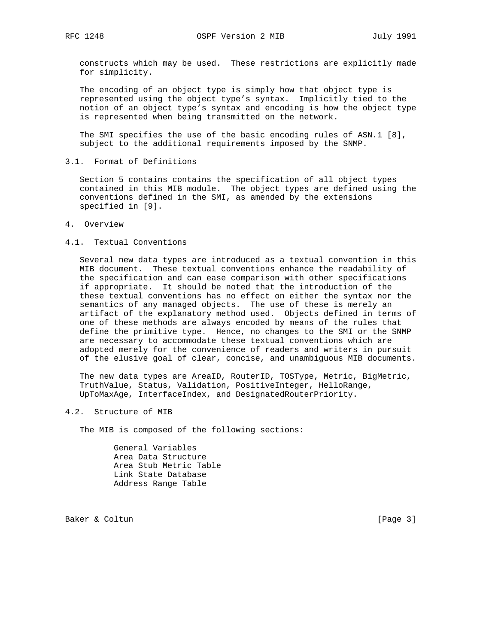constructs which may be used. These restrictions are explicitly made for simplicity.

 The encoding of an object type is simply how that object type is represented using the object type's syntax. Implicitly tied to the notion of an object type's syntax and encoding is how the object type is represented when being transmitted on the network.

 The SMI specifies the use of the basic encoding rules of ASN.1 [8], subject to the additional requirements imposed by the SNMP.

3.1. Format of Definitions

 Section 5 contains contains the specification of all object types contained in this MIB module. The object types are defined using the conventions defined in the SMI, as amended by the extensions specified in [9].

4. Overview

## 4.1. Textual Conventions

 Several new data types are introduced as a textual convention in this MIB document. These textual conventions enhance the readability of the specification and can ease comparison with other specifications if appropriate. It should be noted that the introduction of the these textual conventions has no effect on either the syntax nor the semantics of any managed objects. The use of these is merely an artifact of the explanatory method used. Objects defined in terms of one of these methods are always encoded by means of the rules that define the primitive type. Hence, no changes to the SMI or the SNMP are necessary to accommodate these textual conventions which are adopted merely for the convenience of readers and writers in pursuit of the elusive goal of clear, concise, and unambiguous MIB documents.

 The new data types are AreaID, RouterID, TOSType, Metric, BigMetric, TruthValue, Status, Validation, PositiveInteger, HelloRange, UpToMaxAge, InterfaceIndex, and DesignatedRouterPriority.

### 4.2. Structure of MIB

The MIB is composed of the following sections:

 General Variables Area Data Structure Area Stub Metric Table Link State Database Address Range Table

Baker & Coltun (Page 3)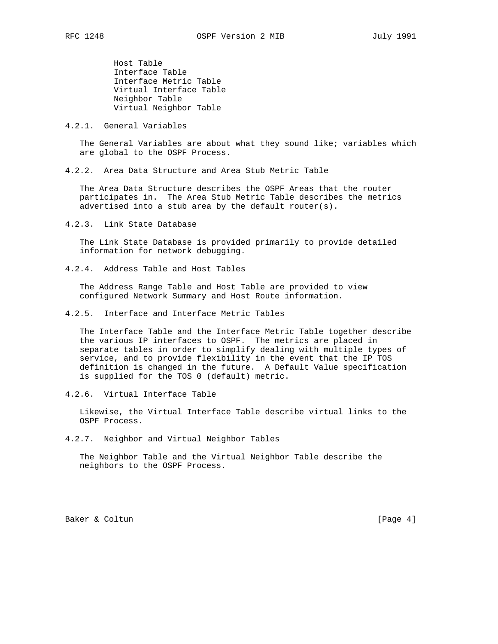Host Table Interface Table Interface Metric Table Virtual Interface Table Neighbor Table Virtual Neighbor Table

4.2.1. General Variables

 The General Variables are about what they sound like; variables which are global to the OSPF Process.

4.2.2. Area Data Structure and Area Stub Metric Table

 The Area Data Structure describes the OSPF Areas that the router participates in. The Area Stub Metric Table describes the metrics advertised into a stub area by the default router(s).

4.2.3. Link State Database

 The Link State Database is provided primarily to provide detailed information for network debugging.

4.2.4. Address Table and Host Tables

 The Address Range Table and Host Table are provided to view configured Network Summary and Host Route information.

4.2.5. Interface and Interface Metric Tables

 The Interface Table and the Interface Metric Table together describe the various IP interfaces to OSPF. The metrics are placed in separate tables in order to simplify dealing with multiple types of service, and to provide flexibility in the event that the IP TOS definition is changed in the future. A Default Value specification is supplied for the TOS 0 (default) metric.

4.2.6. Virtual Interface Table

 Likewise, the Virtual Interface Table describe virtual links to the OSPF Process.

4.2.7. Neighbor and Virtual Neighbor Tables

 The Neighbor Table and the Virtual Neighbor Table describe the neighbors to the OSPF Process.

Baker & Coltun (Page 4)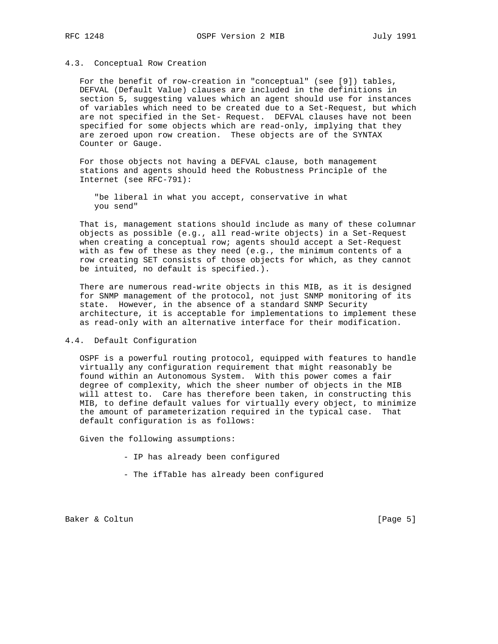### 4.3. Conceptual Row Creation

 For the benefit of row-creation in "conceptual" (see [9]) tables, DEFVAL (Default Value) clauses are included in the definitions in section 5, suggesting values which an agent should use for instances of variables which need to be created due to a Set-Request, but which are not specified in the Set- Request. DEFVAL clauses have not been specified for some objects which are read-only, implying that they are zeroed upon row creation. These objects are of the SYNTAX Counter or Gauge.

 For those objects not having a DEFVAL clause, both management stations and agents should heed the Robustness Principle of the Internet (see RFC-791):

 "be liberal in what you accept, conservative in what you send"

 That is, management stations should include as many of these columnar objects as possible (e.g., all read-write objects) in a Set-Request when creating a conceptual row; agents should accept a Set-Request with as few of these as they need (e.g., the minimum contents of a row creating SET consists of those objects for which, as they cannot be intuited, no default is specified.).

 There are numerous read-write objects in this MIB, as it is designed for SNMP management of the protocol, not just SNMP monitoring of its state. However, in the absence of a standard SNMP Security architecture, it is acceptable for implementations to implement these as read-only with an alternative interface for their modification.

#### 4.4. Default Configuration

 OSPF is a powerful routing protocol, equipped with features to handle virtually any configuration requirement that might reasonably be found within an Autonomous System. With this power comes a fair degree of complexity, which the sheer number of objects in the MIB will attest to. Care has therefore been taken, in constructing this MIB, to define default values for virtually every object, to minimize the amount of parameterization required in the typical case. That default configuration is as follows:

Given the following assumptions:

- IP has already been configured
- The ifTable has already been configured

Baker & Coltun (Page 5)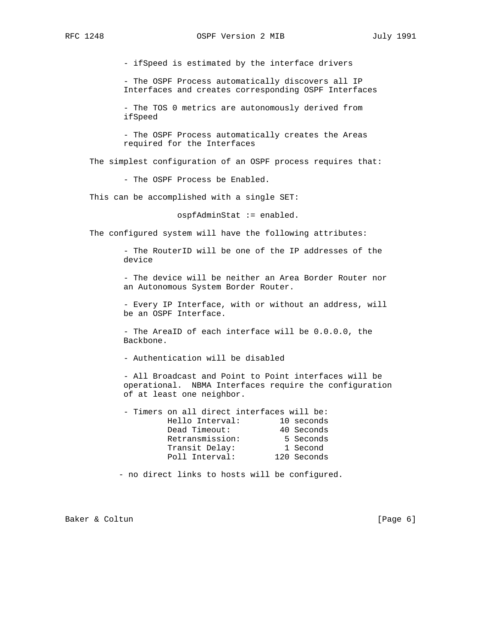- ifSpeed is estimated by the interface drivers

 - The OSPF Process automatically discovers all IP Interfaces and creates corresponding OSPF Interfaces

 - The TOS 0 metrics are autonomously derived from ifSpeed

 - The OSPF Process automatically creates the Areas required for the Interfaces

The simplest configuration of an OSPF process requires that:

- The OSPF Process be Enabled.

This can be accomplished with a single SET:

ospfAdminStat := enabled.

The configured system will have the following attributes:

 - The RouterID will be one of the IP addresses of the device

 - The device will be neither an Area Border Router nor an Autonomous System Border Router.

 - Every IP Interface, with or without an address, will be an OSPF Interface.

 - The AreaID of each interface will be 0.0.0.0, the Backbone.

- Authentication will be disabled

 - All Broadcast and Point to Point interfaces will be operational. NBMA Interfaces require the configuration of at least one neighbor.

|                 | - Timers on all direct interfaces will be: |            |
|-----------------|--------------------------------------------|------------|
| Hello Interval: |                                            | 10 seconds |
| Dead Timeout:   |                                            | 40 Seconds |
| Retransmission: |                                            | 5 Seconds  |
| Transit Delay:  |                                            | 1 Second   |
| Poll Interval:  | 120 Seconds                                |            |

- no direct links to hosts will be configured.

Baker & Coltun (Page 6)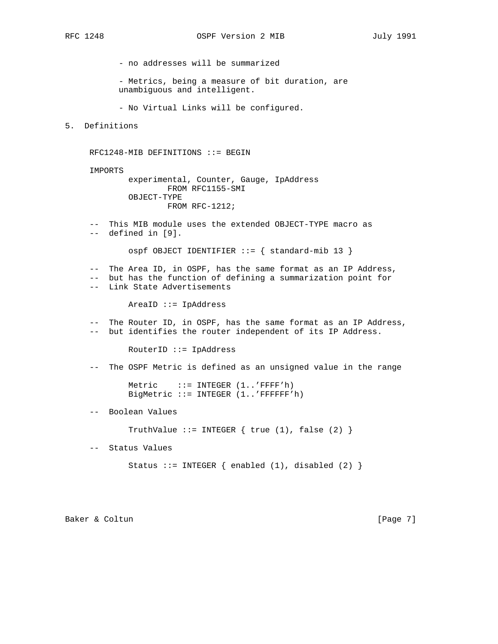- no addresses will be summarized

 - Metrics, being a measure of bit duration, are unambiguous and intelligent.

- No Virtual Links will be configured.

5. Definitions

RFC1248-MIB DEFINITIONS ::= BEGIN

IMPORTS

 experimental, Counter, Gauge, IpAddress FROM RFC1155-SMI OBJECT-TYPE FROM RFC-1212;

 -- This MIB module uses the extended OBJECT-TYPE macro as -- defined in [9].

ospf OBJECT IDENTIFIER ::= { standard-mib 13 }

 -- The Area ID, in OSPF, has the same format as an IP Address, -- but has the function of defining a summarization point for -- Link State Advertisements

AreaID ::= IpAddress

 -- The Router ID, in OSPF, has the same format as an IP Address, -- but identifies the router independent of its IP Address.

RouterID ::= IpAddress

-- The OSPF Metric is defined as an unsigned value in the range

Metric ::= INTEGER (1..'FFFF'h) BigMetric ::= INTEGER (1..'FFFFFF'h)

-- Boolean Values

TruthValue  $::=$  INTEGER  $\{$  true  $(1)$ , false  $(2)$   $\}$ 

-- Status Values

Status ::= INTEGER  $\{$  enabled  $(1)$ , disabled  $(2)$   $\}$ 

Baker & Coltun (Page 7)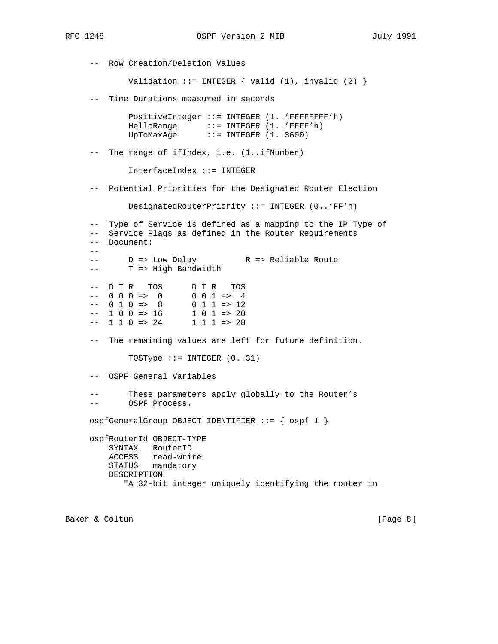-- Row Creation/Deletion Values Validation ::= INTEGER  $\{$  valid  $(1)$ , invalid  $(2)$   $\}$  -- Time Durations measured in seconds PositiveInteger ::= INTEGER (1..'FFFFFFFF'h) HelloRange ::= INTEGER (1..'FFFF'h) UpToMaxAge ::= INTEGER (1..3600) -- The range of ifIndex, i.e. (1..ifNumber) InterfaceIndex ::= INTEGER -- Potential Priorities for the Designated Router Election DesignatedRouterPriority ::= INTEGER (0..'FF'h) -- Type of Service is defined as a mapping to the IP Type of -- Service Flags as defined in the Router Requirements -- Document: -- -- D => Low Delay R => Reliable Route -- T => High Bandwidth -- D T R TOS D T R TOS<br>-- 0 0 0 => 0 0 0 0 1 => 4  $--$  0 0 0 => 0 0 0 1 => 4  $--$  0 1 0 => 8 0 1 1 => 12  $--$  1 0 0 => 16<br>-- 1 1 0 => 24  $1 \t0 \t1 \t>> 20$ <br> $1 \t1 \t1 \t>> 28$  -- The remaining values are left for future definition. TOSType  $::=$  INTEGER  $(0..31)$  -- OSPF General Variables These parameters apply globally to the Router's -- OSPF Process. ospfGeneralGroup OBJECT IDENTIFIER ::= { ospf 1 } ospfRouterId OBJECT-TYPE SYNTAX RouterID ACCESS read-write STATUS mandatory DESCRIPTION "A 32-bit integer uniquely identifying the router in

Baker & Coltun (Page 8)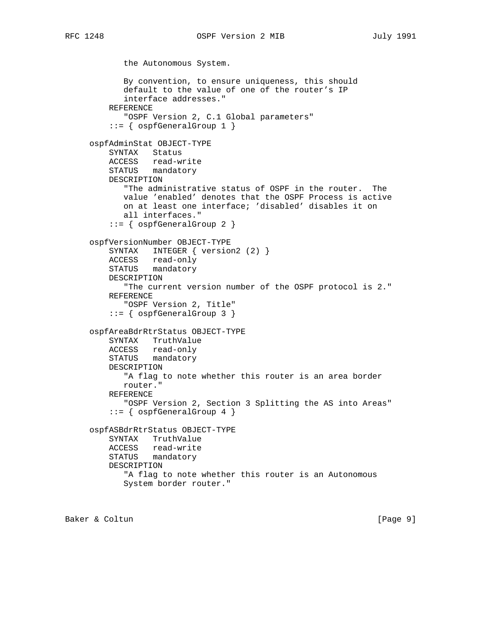the Autonomous System. By convention, to ensure uniqueness, this should default to the value of one of the router's IP interface addresses." REFERENCE "OSPF Version 2, C.1 Global parameters"  $::=$  { ospfGeneralGroup 1 } ospfAdminStat OBJECT-TYPE SYNTAX Status ACCESS read-write STATUS mandatory DESCRIPTION "The administrative status of OSPF in the router. The value 'enabled' denotes that the OSPF Process is active on at least one interface; 'disabled' disables it on all interfaces." ::= { ospfGeneralGroup 2 } ospfVersionNumber OBJECT-TYPE SYNTAX INTEGER { version2 (2) } ACCESS read-only STATUS mandatory DESCRIPTION "The current version number of the OSPF protocol is 2." REFERENCE "OSPF Version 2, Title" ::= { ospfGeneralGroup 3 } ospfAreaBdrRtrStatus OBJECT-TYPE SYNTAX TruthValue ACCESS read-only STATUS mandatory DESCRIPTION "A flag to note whether this router is an area border router." REFERENCE "OSPF Version 2, Section 3 Splitting the AS into Areas" ::= { ospfGeneralGroup 4 } ospfASBdrRtrStatus OBJECT-TYPE SYNTAX TruthValue ACCESS read-write STATUS mandatory DESCRIPTION "A flag to note whether this router is an Autonomous System border router."

Baker & Coltun (Page 9)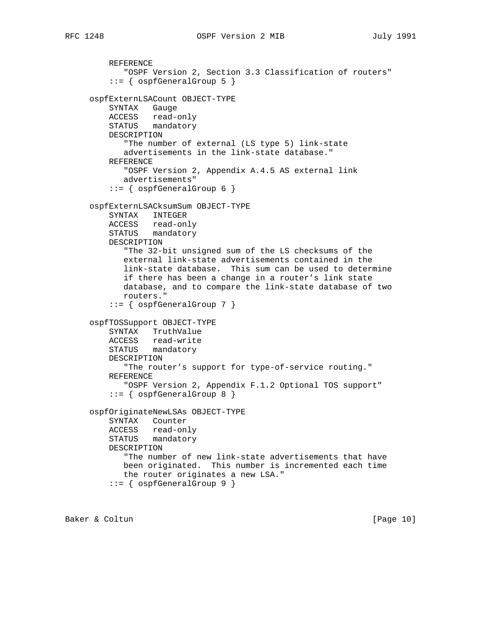```
 REFERENCE
      "OSPF Version 2, Section 3.3 Classification of routers"
    ::= { ospfGeneralGroup 5 }
ospfExternLSACount OBJECT-TYPE
   SYNTAX Gauge
   ACCESS read-only
   STATUS mandatory
   DESCRIPTION
       "The number of external (LS type 5) link-state
      advertisements in the link-state database."
   REFERENCE
       "OSPF Version 2, Appendix A.4.5 AS external link
      advertisements"
    ::= { ospfGeneralGroup 6 }
ospfExternLSACksumSum OBJECT-TYPE
   SYNTAX INTEGER
   ACCESS read-only
   STATUS mandatory
   DESCRIPTION
       "The 32-bit unsigned sum of the LS checksums of the
      external link-state advertisements contained in the
      link-state database. This sum can be used to determine
      if there has been a change in a router's link state
      database, and to compare the link-state database of two
      routers."
    ::= { ospfGeneralGroup 7 }
ospfTOSSupport OBJECT-TYPE
   SYNTAX TruthValue
   ACCESS read-write
   STATUS mandatory
   DESCRIPTION
       "The router's support for type-of-service routing."
   REFERENCE
      "OSPF Version 2, Appendix F.1.2 Optional TOS support"
    ::= { ospfGeneralGroup 8 }
ospfOriginateNewLSAs OBJECT-TYPE
   SYNTAX Counter
   ACCESS read-only
   STATUS mandatory
   DESCRIPTION
       "The number of new link-state advertisements that have
      been originated. This number is incremented each time
      the router originates a new LSA."
    ::= { ospfGeneralGroup 9 }
```
Baker & Coltun (Page 10)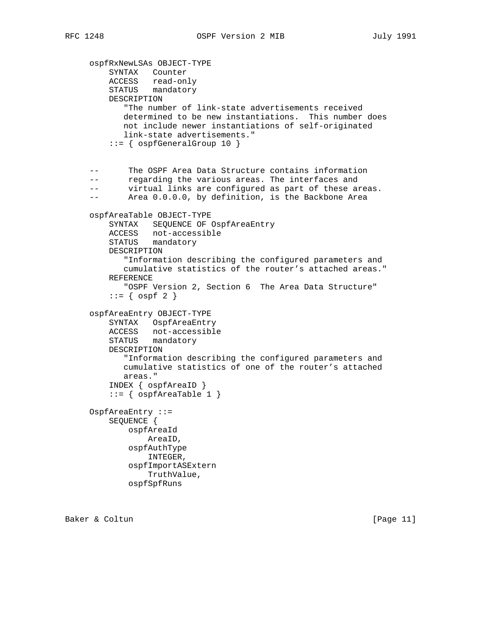ospfRxNewLSAs OBJECT-TYPE SYNTAX Counter ACCESS read-only STATUS mandatory DESCRIPTION "The number of link-state advertisements received determined to be new instantiations. This number does not include newer instantiations of self-originated link-state advertisements." ::= { ospfGeneralGroup 10 } -- The OSPF Area Data Structure contains information -- regarding the various areas. The interfaces and -- virtual links are configured as part of these areas. -- Area 0.0.0.0, by definition, is the Backbone Area ospfAreaTable OBJECT-TYPE SYNTAX SEQUENCE OF OspfAreaEntry ACCESS not-accessible STATUS mandatory DESCRIPTION "Information describing the configured parameters and cumulative statistics of the router's attached areas." REFERENCE "OSPF Version 2, Section 6 The Area Data Structure"  $::=$  {  $ospf 2$  } ospfAreaEntry OBJECT-TYPE SYNTAX OspfAreaEntry ACCESS not-accessible STATUS mandatory DESCRIPTION "Information describing the configured parameters and cumulative statistics of one of the router's attached areas." INDEX { ospfAreaID }  $::=$  {  $ospfAreaTable 1$  } OspfAreaEntry ::= SEQUENCE { ospfAreaId AreaID, ospfAuthType INTEGER, ospfImportASExtern TruthValue, ospfSpfRuns

Baker & Coltun (Page 11)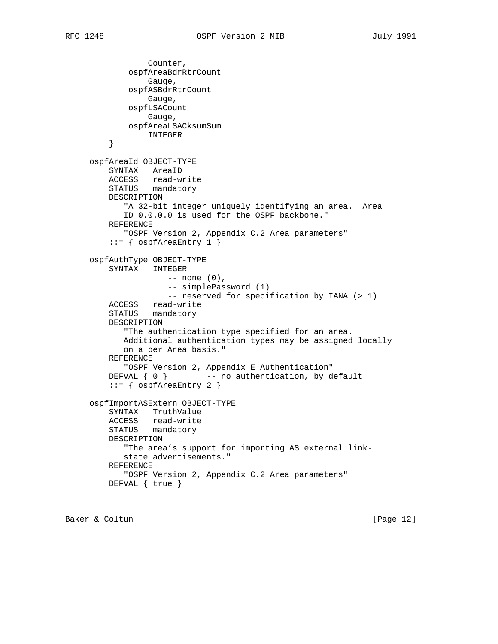```
 Counter,
            ospfAreaBdrRtrCount
                Gauge,
            ospfASBdrRtrCount
                Gauge,
            ospfLSACount
                Gauge,
            ospfAreaLSACksumSum
        INTEGER
}
    ospfAreaId OBJECT-TYPE
        SYNTAX AreaID
ACCESS read-write
STATUS mandatory
        DESCRIPTION
           "A 32-bit integer uniquely identifying an area. Area
           ID 0.0.0.0 is used for the OSPF backbone."
        REFERENCE
           "OSPF Version 2, Appendix C.2 Area parameters"
       ::= { ospfAreaEntry 1 }
    ospfAuthType OBJECT-TYPE
        SYNTAX INTEGER
                    -- none (0),
                    -- simplePassword (1)
                   -- reserved for specification by IANA (> 1)
        ACCESS read-write
        STATUS mandatory
        DESCRIPTION
           "The authentication type specified for an area.
           Additional authentication types may be assigned locally
           on a per Area basis."
        REFERENCE
           "OSPF Version 2, Appendix E Authentication"
       DEFVAL \{ 0 \} -- no authentication, by default
        ::= { ospfAreaEntry 2 }
    ospfImportASExtern OBJECT-TYPE
        SYNTAX TruthValue
        ACCESS read-write
        STATUS mandatory
        DESCRIPTION
           "The area's support for importing AS external link-
           state advertisements."
        REFERENCE
           "OSPF Version 2, Appendix C.2 Area parameters"
        DEFVAL { true }
```
Baker & Coltun (Page 12)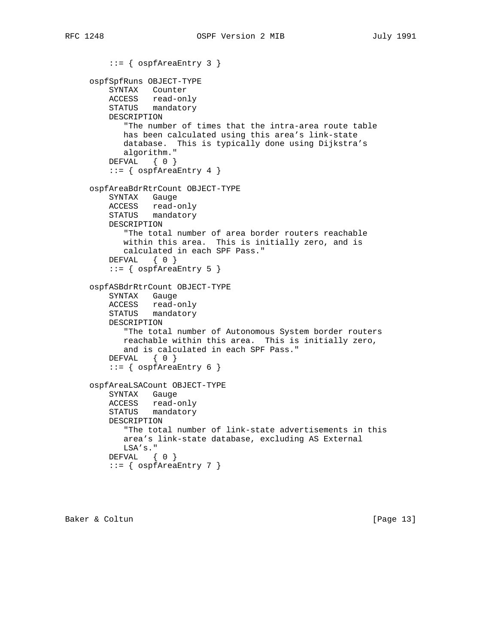```
 ::= { ospfAreaEntry 3 }
ospfSpfRuns OBJECT-TYPE
   SYNTAX Counter
   ACCESS read-only
   STATUS mandatory
   DESCRIPTION
       "The number of times that the intra-area route table
      has been calculated using this area's link-state
      database. This is typically done using Dijkstra's
      algorithm."
  DEFVAL { 0 }
    ::= { ospfAreaEntry 4 }
ospfAreaBdrRtrCount OBJECT-TYPE
   SYNTAX Gauge
   ACCESS read-only
   STATUS mandatory
   DESCRIPTION
      "The total number of area border routers reachable
      within this area. This is initially zero, and is
      calculated in each SPF Pass."
   DEFVAL { 0 }
    ::= { ospfAreaEntry 5 }
ospfASBdrRtrCount OBJECT-TYPE
   SYNTAX Gauge
   ACCESS read-only
   STATUS mandatory
   DESCRIPTION
       "The total number of Autonomous System border routers
      reachable within this area. This is initially zero,
      and is calculated in each SPF Pass."
   DEFVAL { 0 }
    ::= { ospfAreaEntry 6 }
ospfAreaLSACount OBJECT-TYPE
   SYNTAX Gauge
   ACCESS read-only
   STATUS mandatory
   DESCRIPTION
       "The total number of link-state advertisements in this
      area's link-state database, excluding AS External
      LSA's."
  DEFVAL { 0 }
   ::= { ospfAreaEntry 7 }
```
Baker & Coltun [Page 13]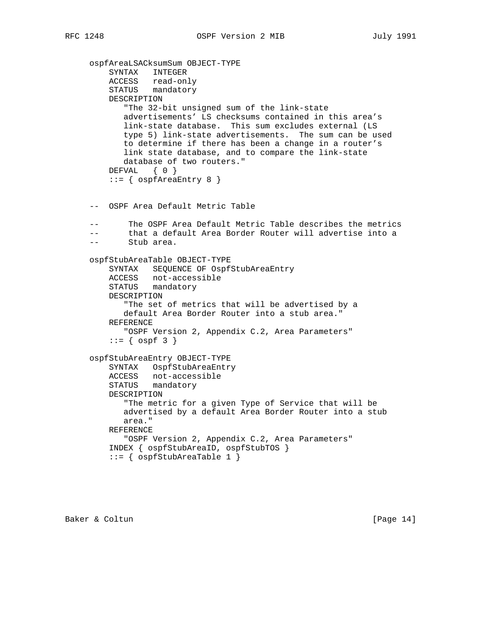```
 ospfAreaLSACksumSum OBJECT-TYPE
        SYNTAX INTEGER
ACCESS read-only
STATUS mandatory
        DESCRIPTION
           "The 32-bit unsigned sum of the link-state
           advertisements' LS checksums contained in this area's
           link-state database. This sum excludes external (LS
           type 5) link-state advertisements. The sum can be used
           to determine if there has been a change in a router's
           link state database, and to compare the link-state
           database of two routers."
        DEFVAL { 0 }
        ::= { ospfAreaEntry 8 }
    -- OSPF Area Default Metric Table
    -- The OSPF Area Default Metric Table describes the metrics
    -- that a default Area Border Router will advertise into a
    -- Stub area.
    ospfStubAreaTable OBJECT-TYPE
        SYNTAX SEQUENCE OF OspfStubAreaEntry
        ACCESS not-accessible
        STATUS mandatory
        DESCRIPTION
           "The set of metrics that will be advertised by a
           default Area Border Router into a stub area."
        REFERENCE
           "OSPF Version 2, Appendix C.2, Area Parameters"
       ::= { ospf 3 }
    ospfStubAreaEntry OBJECT-TYPE
        SYNTAX OspfStubAreaEntry
        ACCESS not-accessible
        STATUS mandatory
        DESCRIPTION
           "The metric for a given Type of Service that will be
           advertised by a default Area Border Router into a stub
           area."
        REFERENCE
           "OSPF Version 2, Appendix C.2, Area Parameters"
        INDEX { ospfStubAreaID, ospfStubTOS }
       ::= { ospfStubAreaTable 1 }
```
Baker & Coltun (Page 14)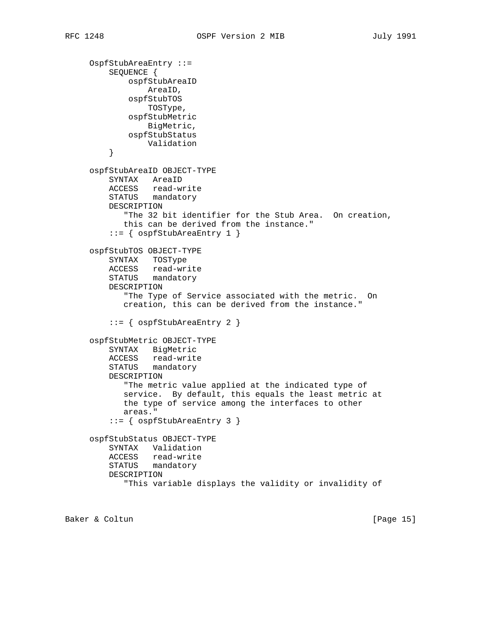```
 OspfStubAreaEntry ::=
        SEQUENCE {
            ospfStubAreaID
                AreaID,
            ospfStubTOS
                TOSType,
            ospfStubMetric
                BigMetric,
            ospfStubStatus
        Validation<br>}
}
    ospfStubAreaID OBJECT-TYPE
        SYNTAX AreaID
        ACCESS read-write
        STATUS mandatory
        DESCRIPTION
           "The 32 bit identifier for the Stub Area. On creation,
           this can be derived from the instance."
         ::= { ospfStubAreaEntry 1 }
    ospfStubTOS OBJECT-TYPE
        SYNTAX TOSType
        ACCESS read-write
        STATUS mandatory
        DESCRIPTION
            "The Type of Service associated with the metric. On
           creation, this can be derived from the instance."
         ::= { ospfStubAreaEntry 2 }
    ospfStubMetric OBJECT-TYPE
        SYNTAX BigMetric
        ACCESS read-write
        STATUS mandatory
        DESCRIPTION
           "The metric value applied at the indicated type of
           service. By default, this equals the least metric at
           the type of service among the interfaces to other
           areas."
         ::= { ospfStubAreaEntry 3 }
    ospfStubStatus OBJECT-TYPE
        SYNTAX Validation
        ACCESS read-write
        STATUS mandatory
        DESCRIPTION
            "This variable displays the validity or invalidity of
```
Baker & Coltun [Page 15]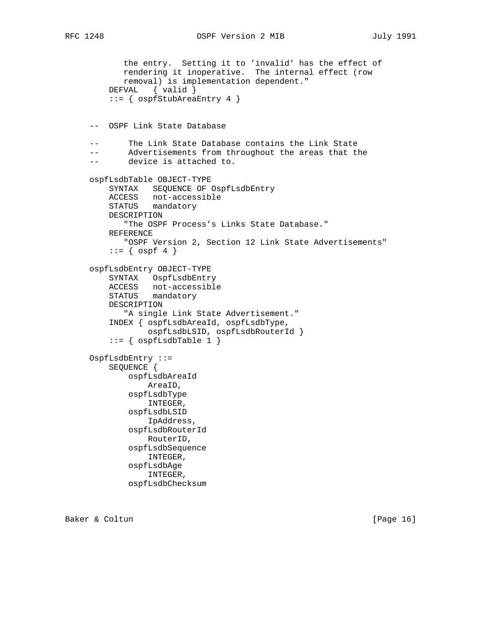```
 the entry. Setting it to 'invalid' has the effect of
           rendering it inoperative. The internal effect (row
           removal) is implementation dependent."
        DEFVAL { valid }
         ::= { ospfStubAreaEntry 4 }
    -- OSPF Link State Database
    -- The Link State Database contains the Link State
    -- Advertisements from throughout the areas that the
    -- device is attached to.
    ospfLsdbTable OBJECT-TYPE
        SYNTAX SEQUENCE OF OspfLsdbEntry
        ACCESS not-accessible
        STATUS mandatory
        DESCRIPTION
           "The OSPF Process's Links State Database."
        REFERENCE
           "OSPF Version 2, Section 12 Link State Advertisements"
        ::= { ospf 4 }
    ospfLsdbEntry OBJECT-TYPE
        SYNTAX OspfLsdbEntry
ACCESS not-accessible
STATUS mandatory
        DESCRIPTION
            "A single Link State Advertisement."
        INDEX { ospfLsdbAreaId, ospfLsdbType,
                ospfLsdbLSID, ospfLsdbRouterId }
        ::= { ospfLsdbTable 1 }
    OspfLsdbEntry ::=
        SEQUENCE {
            ospfLsdbAreaId
                AreaID,
            ospfLsdbType
                INTEGER,
            ospfLsdbLSID
                IpAddress,
            ospfLsdbRouterId
                RouterID,
            ospfLsdbSequence
                INTEGER,
            ospfLsdbAge
                INTEGER,
            ospfLsdbChecksum
```
Baker & Coltun [Page 16]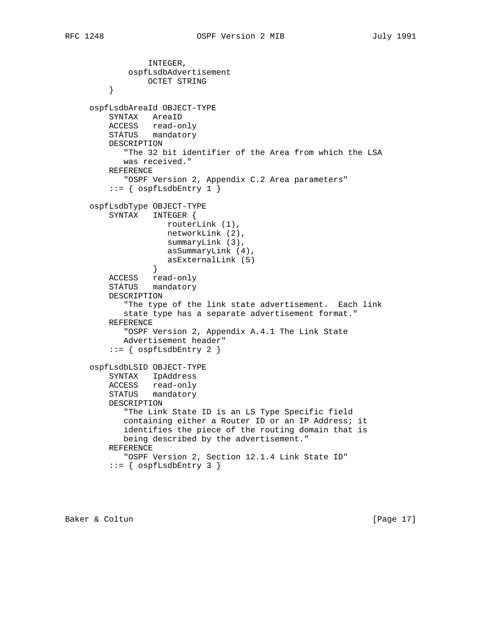```
 INTEGER,
            ospfLsdbAdvertisement
                OCTET STRING
}
    ospfLsdbAreaId OBJECT-TYPE
        SYNTAX AreaID
        ACCESS read-only
        STATUS mandatory
        DESCRIPTION
           "The 32 bit identifier of the Area from which the LSA
           was received."
        REFERENCE
           "OSPF Version 2, Appendix C.2 Area parameters"
        ::= { ospfLsdbEntry 1 }
    ospfLsdbType OBJECT-TYPE
        SYNTAX INTEGER {
                    routerLink (1),
                    networkLink (2),
                    summaryLink (3),
                    asSummaryLink (4),
                asExternalLink (5)<br>}
}
        ACCESS read-only
        STATUS mandatory
        DESCRIPTION
           "The type of the link state advertisement. Each link
           state type has a separate advertisement format."
        REFERENCE
           "OSPF Version 2, Appendix A.4.1 The Link State
           Advertisement header"
        ::= { ospfLsdbEntry 2 }
    ospfLsdbLSID OBJECT-TYPE
        SYNTAX IpAddress
        ACCESS read-only
        STATUS mandatory
        DESCRIPTION
           "The Link State ID is an LS Type Specific field
           containing either a Router ID or an IP Address; it
           identifies the piece of the routing domain that is
           being described by the advertisement."
        REFERENCE
           "OSPF Version 2, Section 12.1.4 Link State ID"
        ::= { ospfLsdbEntry 3 }
```
Baker & Coltun (Page 17)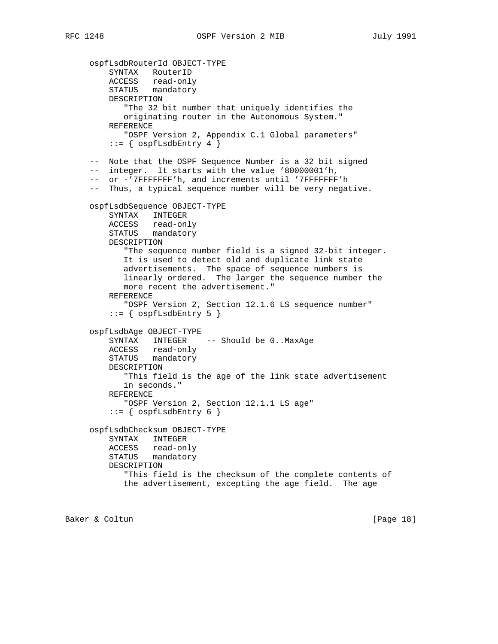```
 ospfLsdbRouterId OBJECT-TYPE
        SYNTAX RouterID
ACCESS read-only
STATUS mandatory
        DESCRIPTION
           "The 32 bit number that uniquely identifies the
           originating router in the Autonomous System."
        REFERENCE
           "OSPF Version 2, Appendix C.1 Global parameters"
        ::= { ospfLsdbEntry 4 }
    -- Note that the OSPF Sequence Number is a 32 bit signed
    -- integer. It starts with the value '80000001'h,
    -- or -'7FFFFFFF'h, and increments until '7FFFFFFF'h
    -- Thus, a typical sequence number will be very negative.
    ospfLsdbSequence OBJECT-TYPE
        SYNTAX INTEGER
        ACCESS read-only
        STATUS mandatory
        DESCRIPTION
           "The sequence number field is a signed 32-bit integer.
           It is used to detect old and duplicate link state
           advertisements. The space of sequence numbers is
           linearly ordered. The larger the sequence number the
           more recent the advertisement."
        REFERENCE
            "OSPF Version 2, Section 12.1.6 LS sequence number"
        ::= \{ ospfLsdbEntry 5 \} ospfLsdbAge OBJECT-TYPE
        SYNTAX INTEGER -- Should be 0..MaxAge
        ACCESS read-only
        STATUS mandatory
        DESCRIPTION
           "This field is the age of the link state advertisement
           in seconds."
        REFERENCE
           "OSPF Version 2, Section 12.1.1 LS age"
        ::= { ospfLsdbEntry 6 }
    ospfLsdbChecksum OBJECT-TYPE
        SYNTAX INTEGER
        ACCESS read-only
        STATUS mandatory
        DESCRIPTION
           "This field is the checksum of the complete contents of
           the advertisement, excepting the age field. The age
```
Baker & Coltun [Page 18]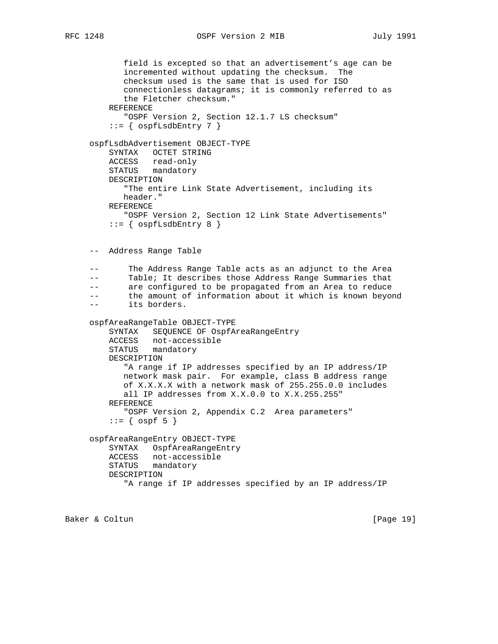```
 field is excepted so that an advertisement's age can be
       incremented without updating the checksum. The
      checksum used is the same that is used for ISO
      connectionless datagrams; it is commonly referred to as
       the Fletcher checksum."
   REFERENCE
       "OSPF Version 2, Section 12.1.7 LS checksum"
   ::= { ospfLsdbEntry 7 }
ospfLsdbAdvertisement OBJECT-TYPE
   SYNTAX OCTET STRING
   ACCESS read-only
   STATUS mandatory
   DESCRIPTION
      "The entire Link State Advertisement, including its
      header."
   REFERENCE
      "OSPF Version 2, Section 12 Link State Advertisements"
   ::= { ospfLsdbEntry 8 }
-- Address Range Table
-- The Address Range Table acts as an adjunct to the Area
-- Table; It describes those Address Range Summaries that
-- are configured to be propagated from an Area to reduce
-- the amount of information about it which is known beyond
-- its borders.
ospfAreaRangeTable OBJECT-TYPE
   SYNTAX SEQUENCE OF OspfAreaRangeEntry
   ACCESS not-accessible
   STATUS mandatory
   DESCRIPTION
       "A range if IP addresses specified by an IP address/IP
      network mask pair. For example, class B address range
      of X.X.X.X with a network mask of 255.255.0.0 includes
      all IP addresses from X.X.0.0 to X.X.255.255"
   REFERENCE
       "OSPF Version 2, Appendix C.2 Area parameters"
   ::= \{ \text{ ospf } 5 \} ospfAreaRangeEntry OBJECT-TYPE
   SYNTAX OspfAreaRangeEntry
   ACCESS not-accessible
   STATUS mandatory
   DESCRIPTION
       "A range if IP addresses specified by an IP address/IP
```
Baker & Coltun [Page 19]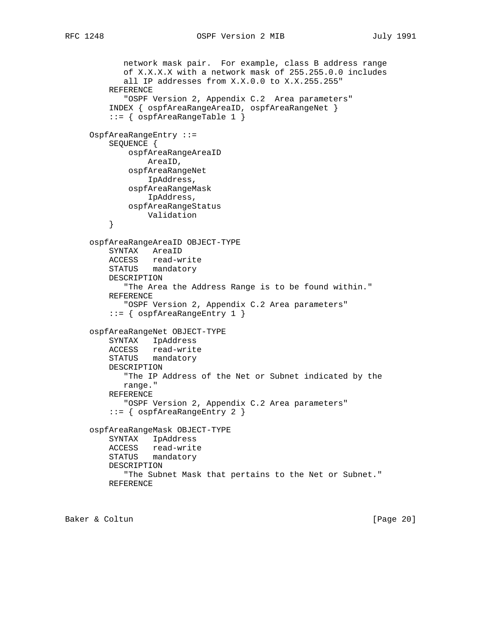```
 network mask pair. For example, class B address range
            of X.X.X.X with a network mask of 255.255.0.0 includes
           all IP addresses from X.X.0.0 to X.X.255.255"
        REFERENCE
            "OSPF Version 2, Appendix C.2 Area parameters"
         INDEX { ospfAreaRangeAreaID, ospfAreaRangeNet }
         ::= { ospfAreaRangeTable 1 }
    OspfAreaRangeEntry ::=
        SEQUENCE {
             ospfAreaRangeAreaID
                AreaID,
             ospfAreaRangeNet
                IpAddress,
             ospfAreaRangeMask
                IpAddress,
             ospfAreaRangeStatus
        Validation<br>}
}
     ospfAreaRangeAreaID OBJECT-TYPE
        SYNTAX AreaID
        ACCESS read-write
        STATUS mandatory
        DESCRIPTION
            "The Area the Address Range is to be found within."
        REFERENCE
            "OSPF Version 2, Appendix C.2 Area parameters"
         ::= { ospfAreaRangeEntry 1 }
    ospfAreaRangeNet OBJECT-TYPE
        SYNTAX IpAddress
        ACCESS read-write
        STATUS mandatory
        DESCRIPTION
           "The IP Address of the Net or Subnet indicated by the
           range."
        REFERENCE
           "OSPF Version 2, Appendix C.2 Area parameters"
         ::= { ospfAreaRangeEntry 2 }
    ospfAreaRangeMask OBJECT-TYPE
        SYNTAX IpAddress
        ACCESS read-write
        STATUS mandatory
        DESCRIPTION
            "The Subnet Mask that pertains to the Net or Subnet."
        REFERENCE
```
Baker & Coltun (Page 20)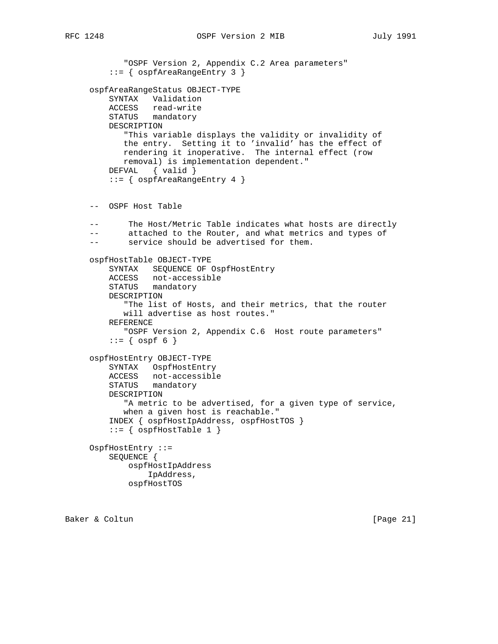```
 "OSPF Version 2, Appendix C.2 Area parameters"
    ::= { ospfAreaRangeEntry 3 }
ospfAreaRangeStatus OBJECT-TYPE
   SYNTAX Validation
   ACCESS read-write
   STATUS mandatory
   DESCRIPTION
       "This variable displays the validity or invalidity of
```

```
 the entry. Setting it to 'invalid' has the effect of
      rendering it inoperative. The internal effect (row
      removal) is implementation dependent."
  DEFVAL { valid }
    ::= { ospfAreaRangeEntry 4 }
-- OSPF Host Table
-- The Host/Metric Table indicates what hosts are directly
-- attached to the Router, and what metrics and types of
-- service should be advertised for them.
ospfHostTable OBJECT-TYPE
   SYNTAX SEQUENCE OF OspfHostEntry
   ACCESS not-accessible
   STATUS mandatory
   DESCRIPTION
       "The list of Hosts, and their metrics, that the router
      will advertise as host routes."
   REFERENCE
      "OSPF Version 2, Appendix C.6 Host route parameters"
   ::= { ospf 6 }
ospfHostEntry OBJECT-TYPE
   SYNTAX OspfHostEntry
   ACCESS not-accessible
   STATUS mandatory
   DESCRIPTION
      "A metric to be advertised, for a given type of service,
      when a given host is reachable."
    INDEX { ospfHostIpAddress, ospfHostTOS }
   ::= { ospfHostTable 1 }
OspfHostEntry ::=
   SEQUENCE {
       ospfHostIpAddress
```

```
 IpAddress,
ospfHostTOS
```
Baker & Coltun (Page 21)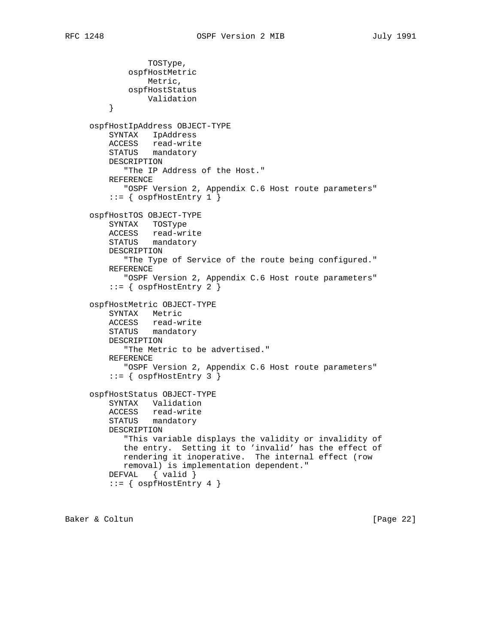```
 TOSType,
            ospfHostMetric
                Metric,
            ospfHostStatus
                Validation
}
    ospfHostIpAddress OBJECT-TYPE
        SYNTAX IpAddress
        ACCESS read-write
        STATUS mandatory
        DESCRIPTION
           "The IP Address of the Host."
        REFERENCE
           "OSPF Version 2, Appendix C.6 Host route parameters"
        ::= { ospfHostEntry 1 }
    ospfHostTOS OBJECT-TYPE
        SYNTAX TOSType
        ACCESS read-write
        STATUS mandatory
        DESCRIPTION
           "The Type of Service of the route being configured."
        REFERENCE
           "OSPF Version 2, Appendix C.6 Host route parameters"
        ::= { ospfHostEntry 2 }
    ospfHostMetric OBJECT-TYPE
        SYNTAX Metric
        ACCESS read-write
        STATUS mandatory
        DESCRIPTION
           "The Metric to be advertised."
        REFERENCE
           "OSPF Version 2, Appendix C.6 Host route parameters"
        ::= { ospfHostEntry 3 }
    ospfHostStatus OBJECT-TYPE
        SYNTAX Validation
        ACCESS read-write
        STATUS mandatory
        DESCRIPTION
           "This variable displays the validity or invalidity of
           the entry. Setting it to 'invalid' has the effect of
           rendering it inoperative. The internal effect (row
           removal) is implementation dependent."
        DEFVAL { valid }
        ::= { ospfHostEntry 4 }
```
Baker & Coltun (Page 22)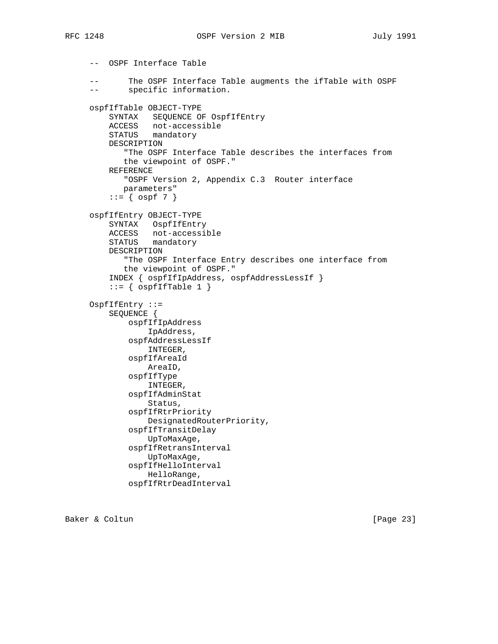-- OSPF Interface Table -- The OSPF Interface Table augments the ifTable with OSPF -- specific information. ospfIfTable OBJECT-TYPE SYNTAX SEQUENCE OF OspfIfEntry ACCESS not-accessible STATUS mandatory DESCRIPTION "The OSPF Interface Table describes the interfaces from the viewpoint of OSPF." REFERENCE "OSPF Version 2, Appendix C.3 Router interface parameters"  $::= \{ \text{ospf } 7 \}$  ospfIfEntry OBJECT-TYPE SYNTAX OspfIfEntry ACCESS not-accessible STATUS mandatory DESCRIPTION "The OSPF Interface Entry describes one interface from the viewpoint of OSPF." INDEX { ospfIfIpAddress, ospfAddressLessIf }  $::=$  { ospfIfTable 1 } OspfIfEntry ::= SEQUENCE { ospfIfIpAddress IpAddress, ospfAddressLessIf INTEGER, ospfIfAreaId AreaID, ospfIfType INTEGER, ospfIfAdminStat Status, ospfIfRtrPriority DesignatedRouterPriority, ospfIfTransitDelay UpToMaxAge, ospfIfRetransInterval UpToMaxAge, ospfIfHelloInterval HelloRange, ospfIfRtrDeadInterval

Baker & Coltun [Page 23]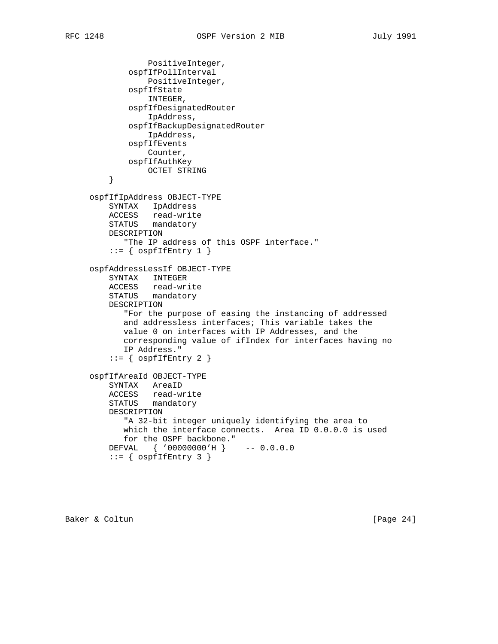```
 PositiveInteger,
            ospfIfPollInterval
                PositiveInteger,
            ospfIfState
                INTEGER,
            ospfIfDesignatedRouter
                IpAddress,
            ospfIfBackupDesignatedRouter
                IpAddress,
            ospfIfEvents
               Counter,
            ospfIfAuthKey
       OCTET STRING
}
    ospfIfIpAddress OBJECT-TYPE
        SYNTAX IpAddress
        ACCESS read-write
        STATUS mandatory
        DESCRIPTION
           "The IP address of this OSPF interface."
       ::= { ospfIfEntry 1 }
    ospfAddressLessIf OBJECT-TYPE
        SYNTAX INTEGER
ACCESS read-write
STATUS mandatory
        DESCRIPTION
           "For the purpose of easing the instancing of addressed
           and addressless interfaces; This variable takes the
           value 0 on interfaces with IP Addresses, and the
           corresponding value of ifIndex for interfaces having no
           IP Address."
       ::= { ospfIfEntry 2 }
    ospfIfAreaId OBJECT-TYPE
        SYNTAX AreaID
ACCESS read-write
STATUS mandatory
        DESCRIPTION
           "A 32-bit integer uniquely identifying the area to
           which the interface connects. Area ID 0.0.0.0 is used
           for the OSPF backbone."
        DEFVAL { '00000000'H } -- 0.0.0.0
       ::= { ospfIfEntry 3 }
```
Baker & Coltun (Page 24)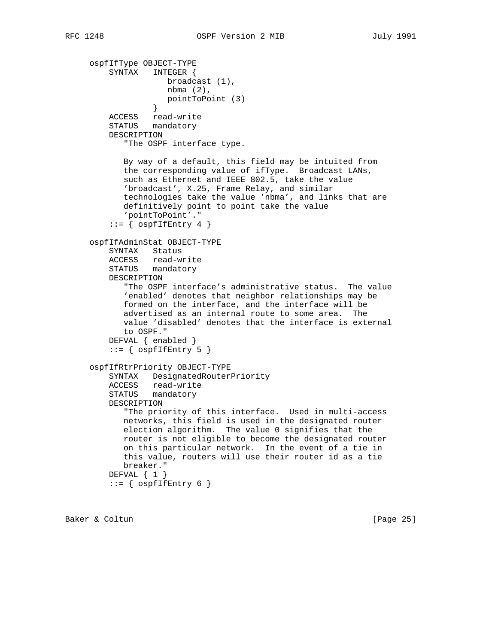ospfIfType OBJECT-TYPE SYNTAX INTEGER { broadcast (1), nbma (2), pointToPoint (3) } ACCESS read-write STATUS mandatory DESCRIPTION "The OSPF interface type. By way of a default, this field may be intuited from the corresponding value of ifType. Broadcast LANs, such as Ethernet and IEEE 802.5, take the value 'broadcast', X.25, Frame Relay, and similar technologies take the value 'nbma', and links that are definitively point to point take the value 'pointToPoint'."  $::=$  {  $ospfIfEntry 4$  } ospfIfAdminStat OBJECT-TYPE SYNTAX Status ACCESS read-write STATUS mandatory DESCRIPTION "The OSPF interface's administrative status. The value 'enabled' denotes that neighbor relationships may be formed on the interface, and the interface will be advertised as an internal route to some area. The value 'disabled' denotes that the interface is external to OSPF." DEFVAL { enabled }  $::=$  {  $ospfIfEntry 5$  } ospfIfRtrPriority OBJECT-TYPE SYNTAX DesignatedRouterPriority ACCESS read-write STATUS mandatory DESCRIPTION "The priority of this interface. Used in multi-access networks, this field is used in the designated router election algorithm. The value 0 signifies that the router is not eligible to become the designated router on this particular network. In the event of a tie in this value, routers will use their router id as a tie breaker." DEFVAL { 1 }  $::=$  {  $ospfIfEntry 6$  }

Baker & Coltun (Page 25)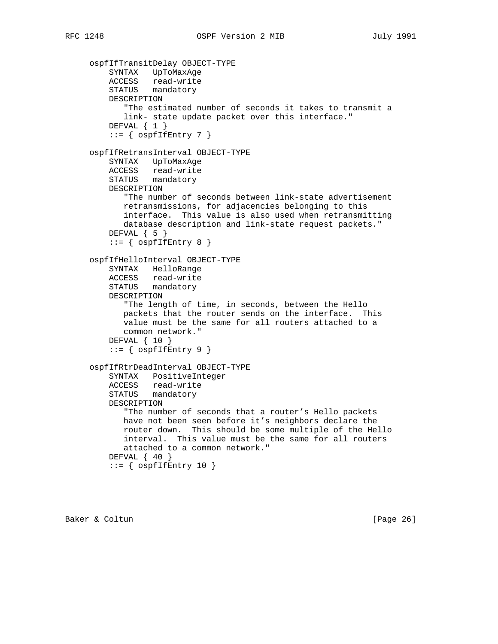```
 ospfIfTransitDelay OBJECT-TYPE
SYNTAX UpToMaxAge
ACCESS read-write
STATUS mandatory
        DESCRIPTION
           "The estimated number of seconds it takes to transmit a
           link- state update packet over this interface."
       DEFVAL \{ 1 \}::= { ospfIfEntry 7 }
    ospfIfRetransInterval OBJECT-TYPE
        SYNTAX UpToMaxAge
        ACCESS read-write
        STATUS mandatory
        DESCRIPTION
           "The number of seconds between link-state advertisement
           retransmissions, for adjacencies belonging to this
           interface. This value is also used when retransmitting
           database description and link-state request packets."
       DEFVAL \{ 5 \}::= { ospfIfEntry 8 }
    ospfIfHelloInterval OBJECT-TYPE
        SYNTAX HelloRange
        ACCESS read-write
        STATUS mandatory
        DESCRIPTION
           "The length of time, in seconds, between the Hello
           packets that the router sends on the interface. This
           value must be the same for all routers attached to a
           common network."
        DEFVAL { 10 }
       ::= { ospfIfEntry 9 }
    ospfIfRtrDeadInterval OBJECT-TYPE
        SYNTAX PositiveInteger
        ACCESS read-write
        STATUS mandatory
        DESCRIPTION
           "The number of seconds that a router's Hello packets
           have not been seen before it's neighbors declare the
           router down. This should be some multiple of the Hello
           interval. This value must be the same for all routers
           attached to a common network."
       DEFVAL \{40\}::= { ospfIfEntry 10 }
```
Baker & Coltun (Page 26)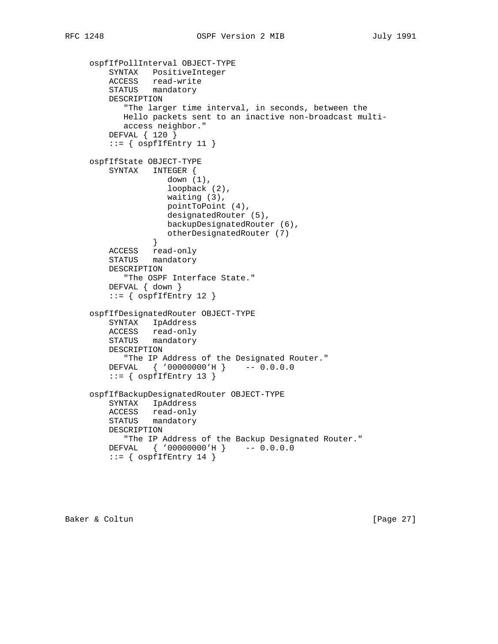```
 ospfIfPollInterval OBJECT-TYPE
SYNTAX PositiveInteger
ACCESS read-write
STATUS mandatory
        DESCRIPTION
           "The larger time interval, in seconds, between the
           Hello packets sent to an inactive non-broadcast multi-
           access neighbor."
        DEFVAL { 120 }
       ::= { ospfIfEntry 11 }
    ospfIfState OBJECT-TYPE
        SYNTAX INTEGER {
                  down (1),
                    loopback (2),
                    waiting (3),
                   pointToPoint (4),
                    designatedRouter (5),
                   backupDesignatedRouter (6),
                 otherDesignatedRouter (7)
}
        ACCESS read-only
        STATUS mandatory
        DESCRIPTION
           "The OSPF Interface State."
        DEFVAL { down }
       ::= { ospfIfEntry 12 }
    ospfIfDesignatedRouter OBJECT-TYPE
        SYNTAX IpAddress
        ACCESS read-only
        STATUS mandatory
        DESCRIPTION
           "The IP Address of the Designated Router."
        DEFVAL { '00000000'H } -- 0.0.0.0
       ::= { ospfIfEntry 13 }
    ospfIfBackupDesignatedRouter OBJECT-TYPE
        SYNTAX IpAddress
        ACCESS read-only
        STATUS mandatory
        DESCRIPTION
           "The IP Address of the Backup Designated Router."
        DEFVAL { '00000000'H } -- 0.0.0.0
       ::= { ospfIfEntry 14 }
```
Baker & Coltun (Page 27)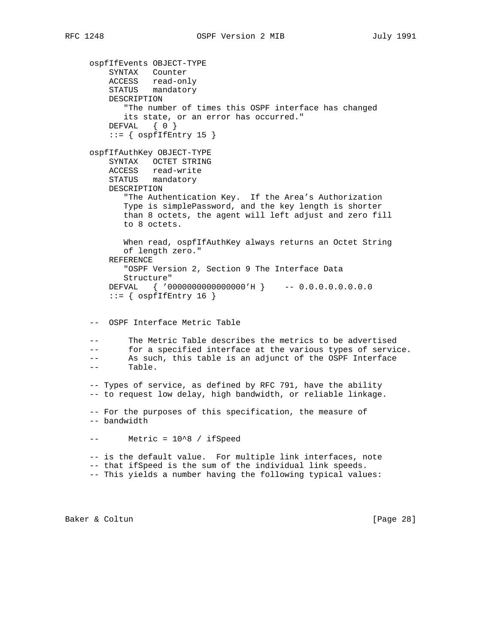ospfIfEvents OBJECT-TYPE SYNTAX Counter ACCESS read-only STATUS mandatory DESCRIPTION "The number of times this OSPF interface has changed its state, or an error has occurred." DEFVAL { 0 }  $::=$  {  $ospfIfEntry 15$  } ospfIfAuthKey OBJECT-TYPE SYNTAX OCTET STRING ACCESS read-write STATUS mandatory DESCRIPTION "The Authentication Key. If the Area's Authorization Type is simplePassword, and the key length is shorter than 8 octets, the agent will left adjust and zero fill to 8 octets. When read, ospfIfAuthKey always returns an Octet String of length zero." REFERENCE "OSPF Version 2, Section 9 The Interface Data Structure" DEFVAL { '0000000000000000'H } -- 0.0.0.0.0.0.0.0  $::=$  {  $ospfIfEntry 16$  } -- OSPF Interface Metric Table The Metric Table describes the metrics to be advertised -- for a specified interface at the various types of service. -- As such, this table is an adjunct of the OSPF Interface -- Table. -- Types of service, as defined by RFC 791, have the ability -- to request low delay, high bandwidth, or reliable linkage. -- For the purposes of this specification, the measure of -- bandwidth -- Metric = 10^8 / ifSpeed -- is the default value. For multiple link interfaces, note -- that ifSpeed is the sum of the individual link speeds. -- This yields a number having the following typical values:

Baker & Coltun [Page 28]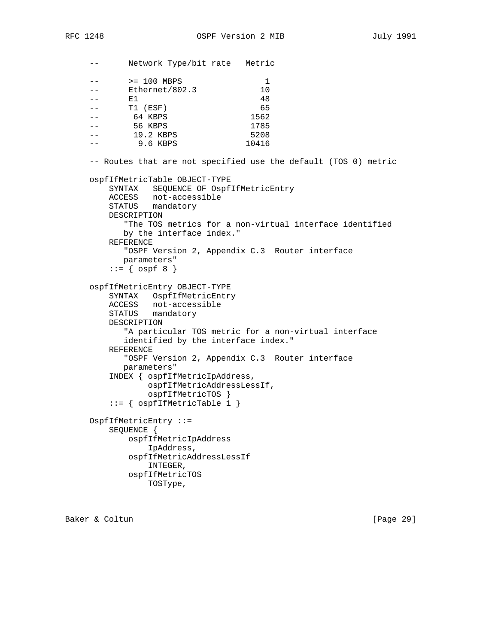-- Network Type/bit rate Metric -- > 200 MBPS 1 -- Ethernet/802.3 10  $--$  E1 48 -- T1 (ESF) 65 -- 64 KBPS 1562 -- 56 KBPS 1785 -- 19.2 KBPS 5208 -- 9.6 KBPS 10416 -- Routes that are not specified use the default (TOS 0) metric ospfIfMetricTable OBJECT-TYPE SYNTAX SEQUENCE OF OspfIfMetricEntry ACCESS not-accessible STATUS mandatory DESCRIPTION "The TOS metrics for a non-virtual interface identified by the interface index." REFERENCE "OSPF Version 2, Appendix C.3 Router interface parameters"  $::=$  {  $ospf 8$  } ospfIfMetricEntry OBJECT-TYPE SYNTAX OspfIfMetricEntry ACCESS not-accessible STATUS mandatory DESCRIPTION "A particular TOS metric for a non-virtual interface identified by the interface index." REFERENCE "OSPF Version 2, Appendix C.3 Router interface parameters" INDEX { ospfIfMetricIpAddress, ospfIfMetricAddressLessIf, ospfIfMetricTOS } ::= { ospfIfMetricTable 1 } OspfIfMetricEntry ::= SEQUENCE { ospfIfMetricIpAddress IpAddress, ospfIfMetricAddressLessIf INTEGER, ospfIfMetricTOS TOSType,

Baker & Coltun [Page 29]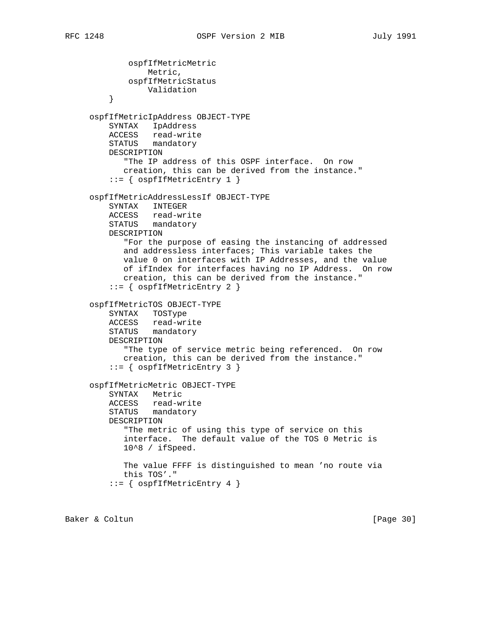ospfIfMetricMetric Metric, ospfIfMetricStatus Validation } ospfIfMetricIpAddress OBJECT-TYPE SYNTAX IpAddress ACCESS read-write STATUS mandatory DESCRIPTION "The IP address of this OSPF interface. On row creation, this can be derived from the instance." ::= { ospfIfMetricEntry 1 } ospfIfMetricAddressLessIf OBJECT-TYPE SYNTAX INTEGER ACCESS read-write STATUS mandatory DESCRIPTION "For the purpose of easing the instancing of addressed and addressless interfaces; This variable takes the value 0 on interfaces with IP Addresses, and the value of ifIndex for interfaces having no IP Address. On row creation, this can be derived from the instance." ::= { ospfIfMetricEntry 2 } ospfIfMetricTOS OBJECT-TYPE SYNTAX TOSType ACCESS read-write STATUS mandatory DESCRIPTION "The type of service metric being referenced. On row creation, this can be derived from the instance." ::= { ospfIfMetricEntry 3 } ospfIfMetricMetric OBJECT-TYPE SYNTAX Metric ACCESS read-write STATUS mandatory DESCRIPTION "The metric of using this type of service on this interface. The default value of the TOS 0 Metric is 10^8 / ifSpeed. The value FFFF is distinguished to mean 'no route via this TOS'." ::= { ospfIfMetricEntry 4 }

Baker & Coltun (Page 30)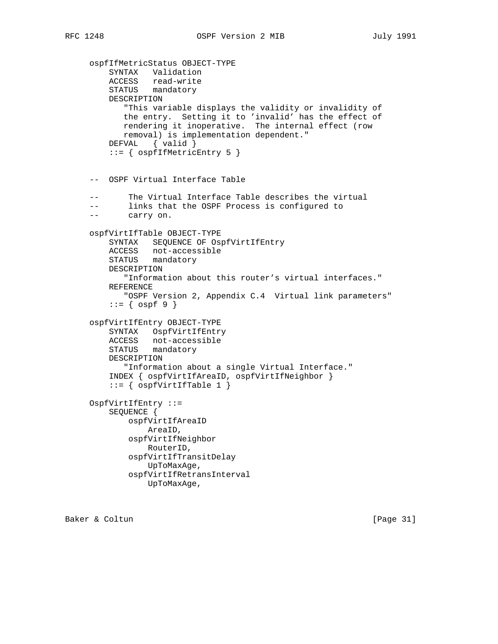```
 ospfIfMetricStatus OBJECT-TYPE
SYNTAX Validation
ACCESS read-write
STATUS mandatory
        DESCRIPTION
           "This variable displays the validity or invalidity of
           the entry. Setting it to 'invalid' has the effect of
           rendering it inoperative. The internal effect (row
           removal) is implementation dependent."
        DEFVAL { valid }
        ::= { ospfIfMetricEntry 5 }
    -- OSPF Virtual Interface Table
           The Virtual Interface Table describes the virtual
    -- links that the OSPF Process is configured to
    -- carry on.
    ospfVirtIfTable OBJECT-TYPE
        SYNTAX SEQUENCE OF OspfVirtIfEntry
        ACCESS not-accessible
        STATUS mandatory
        DESCRIPTION
           "Information about this router's virtual interfaces."
        REFERENCE
           "OSPF Version 2, Appendix C.4 Virtual link parameters"
       ::= { ospf 9 }
    ospfVirtIfEntry OBJECT-TYPE
        SYNTAX OspfVirtIfEntry
        ACCESS not-accessible
        STATUS mandatory
        DESCRIPTION
           "Information about a single Virtual Interface."
        INDEX { ospfVirtIfAreaID, ospfVirtIfNeighbor }
        ::= { ospfVirtIfTable 1 }
    OspfVirtIfEntry ::=
        SEQUENCE {
            ospfVirtIfAreaID
                AreaID,
            ospfVirtIfNeighbor
                RouterID,
            ospfVirtIfTransitDelay
                UpToMaxAge,
            ospfVirtIfRetransInterval
                UpToMaxAge,
```
Baker & Coltun [Page 31]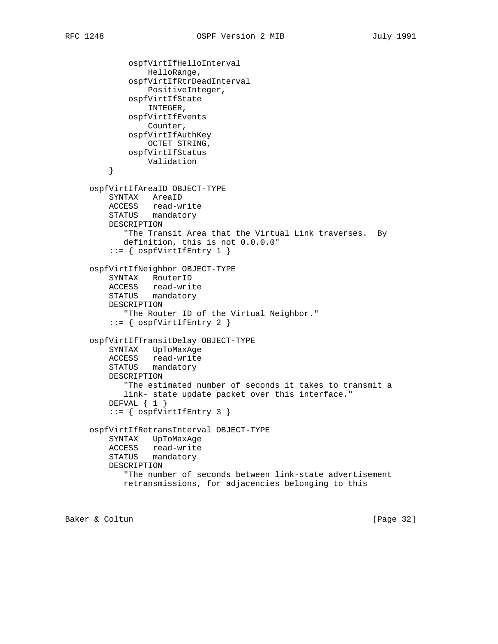```
 ospfVirtIfHelloInterval
                HelloRange,
            ospfVirtIfRtrDeadInterval
                PositiveInteger,
            ospfVirtIfState
                INTEGER,
            ospfVirtIfEvents
                Counter,
            ospfVirtIfAuthKey
                OCTET STRING,
            ospfVirtIfStatus
                Validation
        }
    ospfVirtIfAreaID OBJECT-TYPE
        SYNTAX AreaID
        ACCESS read-write
        STATUS mandatory
        DESCRIPTION
           "The Transit Area that the Virtual Link traverses. By
           definition, this is not 0.0.0.0"
         ::= { ospfVirtIfEntry 1 }
    ospfVirtIfNeighbor OBJECT-TYPE
        SYNTAX RouterID
ACCESS read-write
STATUS mandatory
        DESCRIPTION
            "The Router ID of the Virtual Neighbor."
        ::= { ospfvirtIfEntry 2 }
    ospfVirtIfTransitDelay OBJECT-TYPE
        SYNTAX UpToMaxAge
        ACCESS read-write
        STATUS mandatory
        DESCRIPTION
           "The estimated number of seconds it takes to transmit a
           link- state update packet over this interface."
       DEFVAL { 1 }
        ::= { ospfVirtIfEntry 3 }
    ospfVirtIfRetransInterval OBJECT-TYPE
        SYNTAX UpToMaxAge
        ACCESS read-write
        STATUS mandatory
        DESCRIPTION
            "The number of seconds between link-state advertisement
           retransmissions, for adjacencies belonging to this
```
Baker & Coltun (Page 32)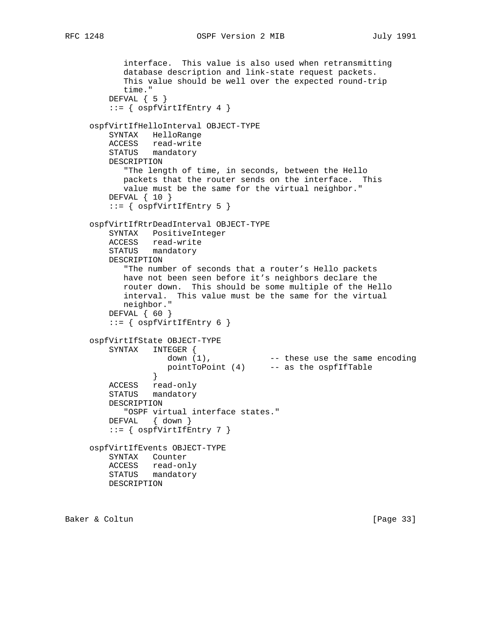interface. This value is also used when retransmitting database description and link-state request packets. This value should be well over the expected round-trip time." DEFVAL { 5 } ::= { ospfVirtIfEntry 4 } ospfVirtIfHelloInterval OBJECT-TYPE SYNTAX HelloRange ACCESS read-write STATUS mandatory DESCRIPTION "The length of time, in seconds, between the Hello packets that the router sends on the interface. This value must be the same for the virtual neighbor." DEFVAL { 10 } ::= { ospfVirtIfEntry 5 } ospfVirtIfRtrDeadInterval OBJECT-TYPE SYNTAX PositiveInteger ACCESS read-write STATUS mandatory DESCRIPTION "The number of seconds that a router's Hello packets have not been seen before it's neighbors declare the router down. This should be some multiple of the Hello interval. This value must be the same for the virtual neighbor." DEFVAL { 60 } ::= { ospfVirtIfEntry 6 } ospfVirtIfState OBJECT-TYPE SYNTAX INTEGER { down (1), These use the same encoding pointToPoint (4) -- as the ospfIfTable } ACCESS read-only STATUS mandatory DESCRIPTION "OSPF virtual interface states." DEFVAL { down }  $::=$  {  $ospfVirtIfEntry 7$  } ospfVirtIfEvents OBJECT-TYPE SYNTAX Counter ACCESS read-only STATUS mandatory DESCRIPTION

Baker & Coltun [Page 33]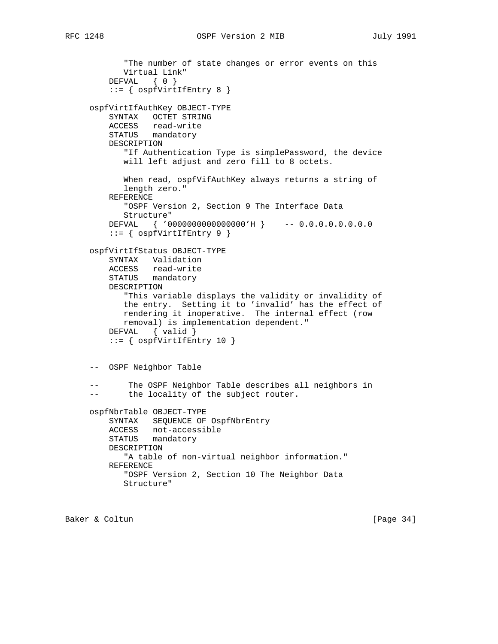```
 "The number of state changes or error events on this
      Virtual Link"
   DEFVAL { 0 }
    ::= { ospfVirtIfEntry 8 }
ospfVirtIfAuthKey OBJECT-TYPE
    SYNTAX OCTET STRING
   ACCESS read-write
   STATUS mandatory
    DESCRIPTION
       "If Authentication Type is simplePassword, the device
      will left adjust and zero fill to 8 octets.
       When read, ospfVifAuthKey always returns a string of
       length zero."
    REFERENCE
       "OSPF Version 2, Section 9 The Interface Data
      Structure"
   DEFVAL { '0000000000000000'H } -- 0.0.0.0.0.0.0.0
    ::= { ospfVirtIfEntry 9 }
ospfVirtIfStatus OBJECT-TYPE
    SYNTAX Validation
   ACCESS read-write
   STATUS mandatory
    DESCRIPTION
       "This variable displays the validity or invalidity of
      the entry. Setting it to 'invalid' has the effect of
      rendering it inoperative. The internal effect (row
      removal) is implementation dependent."
    DEFVAL { valid }
   ::= { ospfVirtIfEntry 10 }
-- OSPF Neighbor Table
-- The OSPF Neighbor Table describes all neighbors in
-- the locality of the subject router.
ospfNbrTable OBJECT-TYPE
    SYNTAX SEQUENCE OF OspfNbrEntry
    ACCESS not-accessible
    STATUS mandatory
    DESCRIPTION
      "A table of non-virtual neighbor information."
    REFERENCE
       "OSPF Version 2, Section 10 The Neighbor Data
      Structure"
```
Baker & Coltun [Page 34]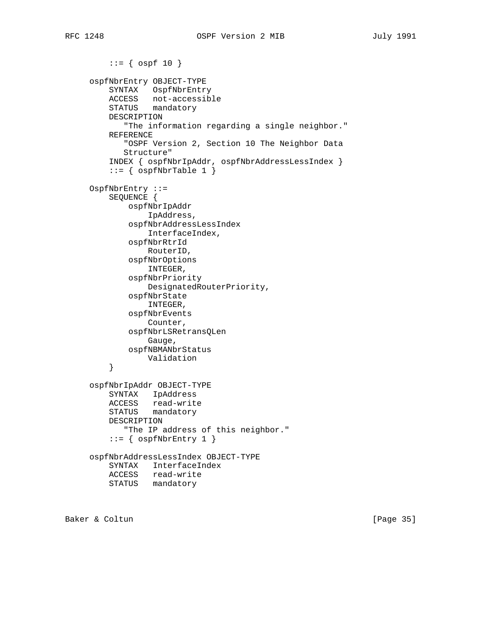```
::= \{ \text{ospf } 10 \} ospfNbrEntry OBJECT-TYPE
         SYNTAX OspfNbrEntry
         ACCESS not-accessible
         STATUS mandatory
        DESCRIPTION
            "The information regarding a single neighbor."
         REFERENCE
            "OSPF Version 2, Section 10 The Neighbor Data
            Structure"
         INDEX { ospfNbrIpAddr, ospfNbrAddressLessIndex }
         ::= { ospfNbrTable 1 }
     OspfNbrEntry ::=
         SEQUENCE {
             ospfNbrIpAddr
                 IpAddress,
             ospfNbrAddressLessIndex
                 InterfaceIndex,
             ospfNbrRtrId
                 RouterID,
             ospfNbrOptions
                 INTEGER,
             ospfNbrPriority
                 DesignatedRouterPriority,
             ospfNbrState
                 INTEGER,
             ospfNbrEvents
                 Counter,
             ospfNbrLSRetransQLen
                 Gauge,
             ospfNBMANbrStatus
                Validation
         }
     ospfNbrIpAddr OBJECT-TYPE
         SYNTAX IpAddress
ACCESS read-write
STATUS mandatory
         DESCRIPTION
            "The IP address of this neighbor."
        ::= { ospfNbrEntry 1 }
     ospfNbrAddressLessIndex OBJECT-TYPE
         SYNTAX InterfaceIndex
        ACCESS read-write
        STATUS mandatory
```
Baker & Coltun (Page 35)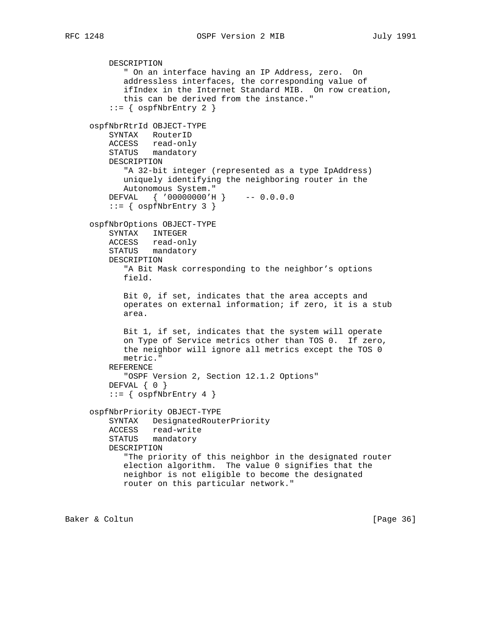```
 DESCRIPTION
      " On an interface having an IP Address, zero. On
       addressless interfaces, the corresponding value of
       ifIndex in the Internet Standard MIB. On row creation,
       this can be derived from the instance."
   ::= { ospfNbrEntry 2 }
ospfNbrRtrId OBJECT-TYPE
   SYNTAX RouterID
   ACCESS read-only
   STATUS mandatory
   DESCRIPTION
       "A 32-bit integer (represented as a type IpAddress)
       uniquely identifying the neighboring router in the
      Autonomous System."
   DEFVAL { '00000000'H } -- 0.0.0.0
   ::= { ospfNbrEntry 3 }
ospfNbrOptions OBJECT-TYPE
   SYNTAX INTEGER
   ACCESS read-only
   STATUS mandatory
   DESCRIPTION
       "A Bit Mask corresponding to the neighbor's options
      field.
       Bit 0, if set, indicates that the area accepts and
       operates on external information; if zero, it is a stub
       area.
      Bit 1, if set, indicates that the system will operate
       on Type of Service metrics other than TOS 0. If zero,
       the neighbor will ignore all metrics except the TOS 0
      metric."
   REFERENCE
      "OSPF Version 2, Section 12.1.2 Options"
  DEFVAL { 0 }
   ::= { ospfNbrEntry 4 }
ospfNbrPriority OBJECT-TYPE
   SYNTAX DesignatedRouterPriority
   ACCESS read-write
   STATUS mandatory
   DESCRIPTION
       "The priority of this neighbor in the designated router
      election algorithm. The value 0 signifies that the
      neighbor is not eligible to become the designated
      router on this particular network."
```
Baker & Coltun (Page 36)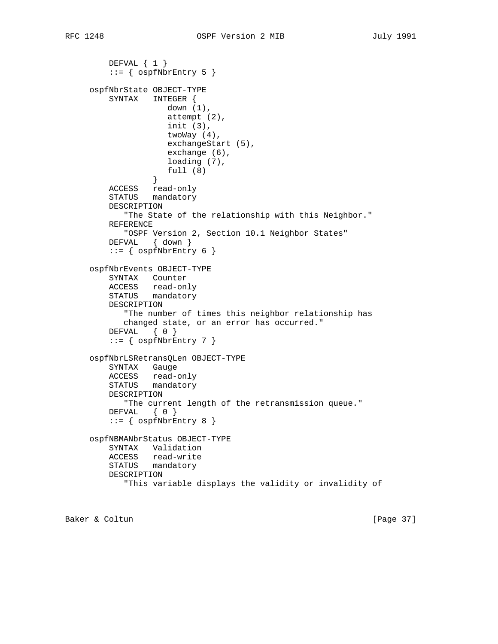```
 DEFVAL { 1 }
       ::= { ospfNbrEntry 5 }
    ospfNbrState OBJECT-TYPE
        SYNTAX INTEGER {
                    down (1),
                    attempt (2),
                    init (3),
                    twoWay (4),
                    exchangeStart (5),
                    exchange (6),
                    loading (7),
                full (8) }
        ACCESS read-only
        STATUS mandatory
        DESCRIPTION
           "The State of the relationship with this Neighbor."
        REFERENCE
           "OSPF Version 2, Section 10.1 Neighbor States"
        DEFVAL { down }
       ::= { ospfNbrEntry 6 }
    ospfNbrEvents OBJECT-TYPE
        SYNTAX Counter
ACCESS read-only
STATUS mandatory
        DESCRIPTION
           "The number of times this neighbor relationship has
           changed state, or an error has occurred."
        DEFVAL { 0 }
       ::= { ospfNbrEntry 7 }
    ospfNbrLSRetransQLen OBJECT-TYPE
        SYNTAX Gauge
        ACCESS read-only
        STATUS mandatory
        DESCRIPTION
           "The current length of the retransmission queue."
       DEFVAL { 0 }
       ::= { ospfNbrEntry 8 }
    ospfNBMANbrStatus OBJECT-TYPE
        SYNTAX Validation
        ACCESS read-write
        STATUS mandatory
        DESCRIPTION
           "This variable displays the validity or invalidity of
```
Baker & Coltun [Page 37]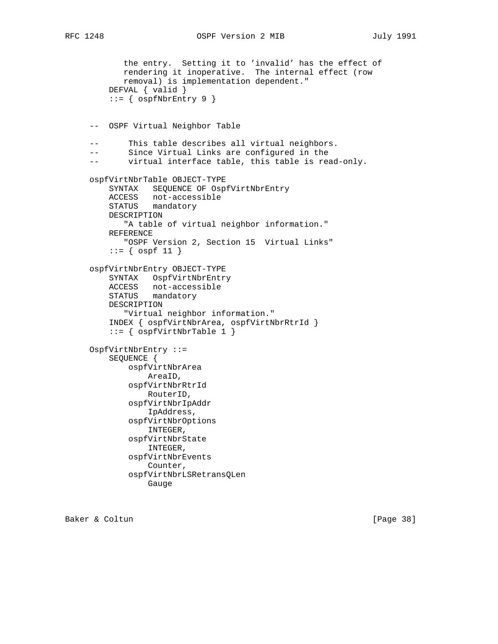```
 the entry. Setting it to 'invalid' has the effect of
           rendering it inoperative. The internal effect (row
           removal) is implementation dependent."
        DEFVAL { valid }
        ::= { ospfNbrEntry 9 }
    -- OSPF Virtual Neighbor Table
    -- This table describes all virtual neighbors.
    -- Since Virtual Links are configured in the
    -- virtual interface table, this table is read-only.
    ospfVirtNbrTable OBJECT-TYPE
        SYNTAX SEQUENCE OF OspfVirtNbrEntry
        ACCESS not-accessible
        STATUS mandatory
        DESCRIPTION
           "A table of virtual neighbor information."
        REFERENCE
           "OSPF Version 2, Section 15 Virtual Links"
        ::= { ospf 11 }
    ospfVirtNbrEntry OBJECT-TYPE
        SYNTAX OspfVirtNbrEntry
ACCESS not-accessible
STATUS mandatory
        DESCRIPTION
           "Virtual neighbor information."
        INDEX { ospfVirtNbrArea, ospfVirtNbrRtrId }
        ::= { ospfVirtNbrTable 1 }
    OspfVirtNbrEntry ::=
        SEQUENCE {
            ospfVirtNbrArea
                AreaID,
            ospfVirtNbrRtrId
                RouterID,
            ospfVirtNbrIpAddr
                IpAddress,
            ospfVirtNbrOptions
                INTEGER,
            ospfVirtNbrState
                INTEGER,
            ospfVirtNbrEvents
                Counter,
            ospfVirtNbrLSRetransQLen
                Gauge
```
Baker & Coltun [Page 38]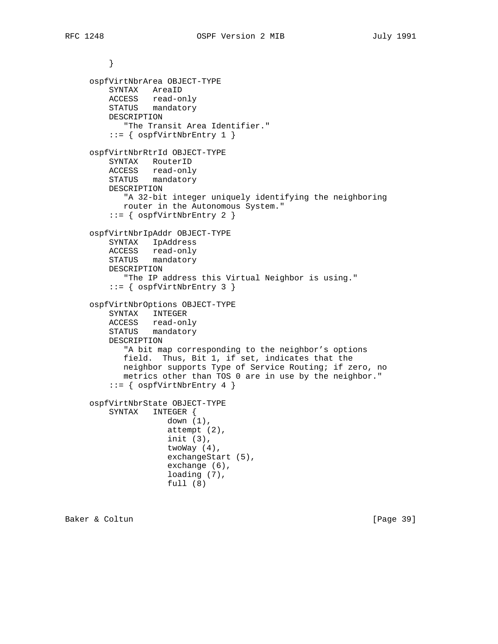```
 }
ospfVirtNbrArea OBJECT-TYPE
    SYNTAX AreaID
    ACCESS read-only
   STATUS mandatory
   DESCRIPTION
      "The Transit Area Identifier."
    ::= { ospfVirtNbrEntry 1 }
ospfVirtNbrRtrId OBJECT-TYPE
   SYNTAX RouterID
    ACCESS read-only
    STATUS mandatory
    DESCRIPTION
      "A 32-bit integer uniquely identifying the neighboring
      router in the Autonomous System."
    ::= { ospfVirtNbrEntry 2 }
ospfVirtNbrIpAddr OBJECT-TYPE
   SYNTAX IpAddress
   ACCESS read-only
   STATUS mandatory
   DESCRIPTION
       "The IP address this Virtual Neighbor is using."
    ::= { ospfVirtNbrEntry 3 }
ospfVirtNbrOptions OBJECT-TYPE
   SYNTAX INTEGER
    ACCESS read-only
    STATUS mandatory
    DESCRIPTION
       "A bit map corresponding to the neighbor's options
      field. Thus, Bit 1, if set, indicates that the
      neighbor supports Type of Service Routing; if zero, no
      metrics other than TOS 0 are in use by the neighbor."
    ::= { ospfVirtNbrEntry 4 }
ospfVirtNbrState OBJECT-TYPE
    SYNTAX INTEGER {
               down (1),
                attempt (2),
                init (3),
                twoWay (4),
                exchangeStart (5),
                exchange (6),
                loading (7),
                full (8)
```
Baker & Coltun [Page 39]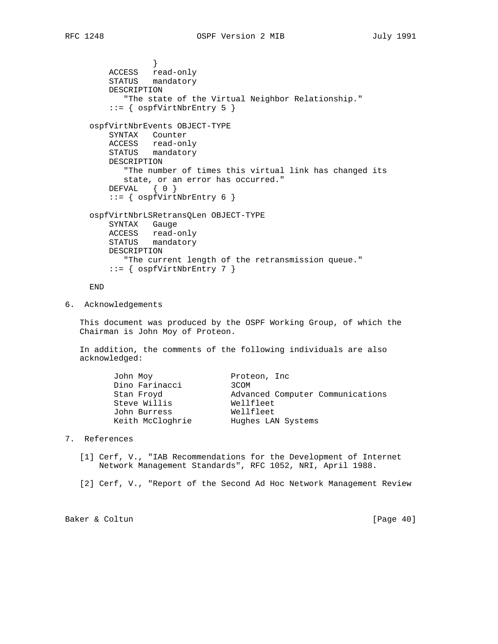```
 }
ACCESS read-only
STATUS mandatory
        DESCRIPTION
           "The state of the Virtual Neighbor Relationship."
        ::= { ospfVirtNbrEntry 5 }
    ospfVirtNbrEvents OBJECT-TYPE
        SYNTAX Counter
        ACCESS read-only
        STATUS mandatory
        DESCRIPTION
           "The number of times this virtual link has changed its
           state, or an error has occurred."
       DEFVAL { 0 }
        ::= { ospfVirtNbrEntry 6 }
    ospfVirtNbrLSRetransQLen OBJECT-TYPE
        SYNTAX Gauge
        ACCESS read-only
        STATUS mandatory
        DESCRIPTION
          "The current length of the retransmission queue."
        ::= { ospfVirtNbrEntry 7 }
```
END

6. Acknowledgements

 This document was produced by the OSPF Working Group, of which the Chairman is John Moy of Proteon.

 In addition, the comments of the following individuals are also acknowledged:

| John Moy         | Proteon, Inc.                    |
|------------------|----------------------------------|
| Dino Farinacci   | 3COM                             |
| Stan Froyd       | Advanced Computer Communications |
| Steve Willis     | Wellfleet                        |
| John Burress     | Wellfleet                        |
| Keith McCloghrie | Hughes LAN Systems               |

- 7. References
	- [1] Cerf, V., "IAB Recommendations for the Development of Internet Network Management Standards", RFC 1052, NRI, April 1988.
	- [2] Cerf, V., "Report of the Second Ad Hoc Network Management Review

Baker & Coltun [Page 40]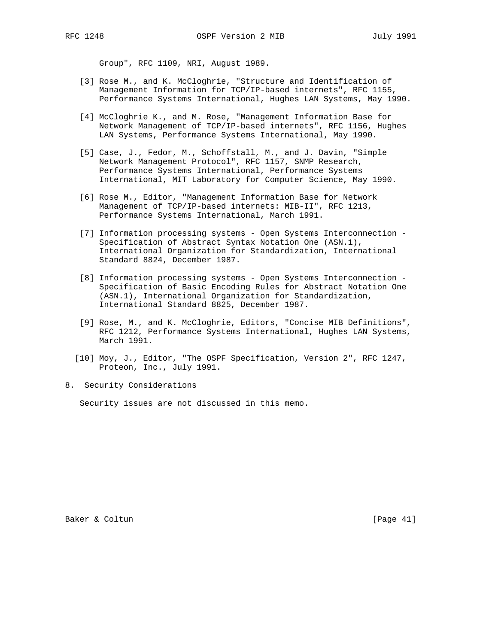Group", RFC 1109, NRI, August 1989.

- [3] Rose M., and K. McCloghrie, "Structure and Identification of Management Information for TCP/IP-based internets", RFC 1155, Performance Systems International, Hughes LAN Systems, May 1990.
- [4] McCloghrie K., and M. Rose, "Management Information Base for Network Management of TCP/IP-based internets", RFC 1156, Hughes LAN Systems, Performance Systems International, May 1990.
- [5] Case, J., Fedor, M., Schoffstall, M., and J. Davin, "Simple Network Management Protocol", RFC 1157, SNMP Research, Performance Systems International, Performance Systems International, MIT Laboratory for Computer Science, May 1990.
- [6] Rose M., Editor, "Management Information Base for Network Management of TCP/IP-based internets: MIB-II", RFC 1213, Performance Systems International, March 1991.
- [7] Information processing systems Open Systems Interconnection Specification of Abstract Syntax Notation One (ASN.1), International Organization for Standardization, International Standard 8824, December 1987.
- [8] Information processing systems Open Systems Interconnection Specification of Basic Encoding Rules for Abstract Notation One (ASN.1), International Organization for Standardization, International Standard 8825, December 1987.
- [9] Rose, M., and K. McCloghrie, Editors, "Concise MIB Definitions", RFC 1212, Performance Systems International, Hughes LAN Systems, March 1991.
- [10] Moy, J., Editor, "The OSPF Specification, Version 2", RFC 1247, Proteon, Inc., July 1991.
- 8. Security Considerations

Security issues are not discussed in this memo.

Baker & Coltun [Page 41]